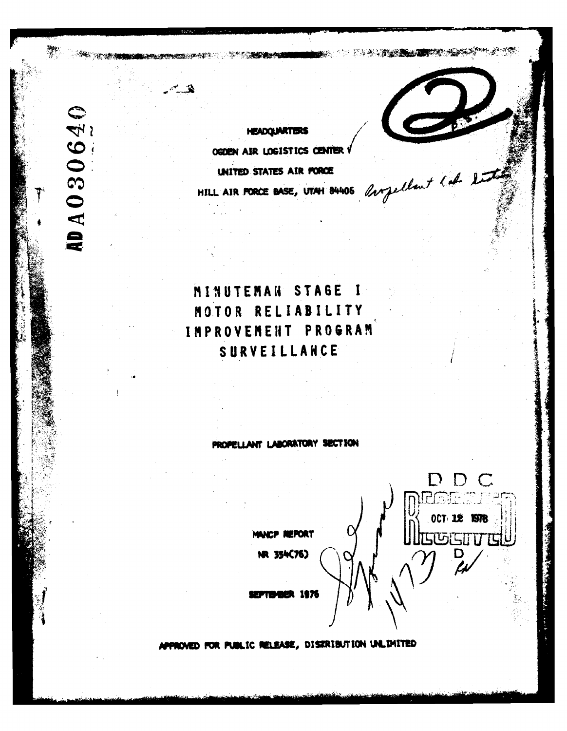**ADA030640** 

**HEADOLIARTERS** OGDEN AIR LOGISTICS CENTER HILL AIR PORCE BASE, UTAH 84406 Orgellant lat 2 UNITED STATES AIR FORCE

**SEAN TO THE TERMS AREA** 

D D C

**OCT 12 1978** 

**SUGISTITIS** 

# MINUTEMAN STAGE  $\blacksquare$ MOTOR RELIABILITY IMPROVEMENT PROGRAM SURVEILLANCE

#### PROPELLANT LABORATORY SECTION

MANCP REPORT

NR 354(76)

l 187

ROVED FOR PUBLIC RELEASE, DISTRIBUTION UNLIMITED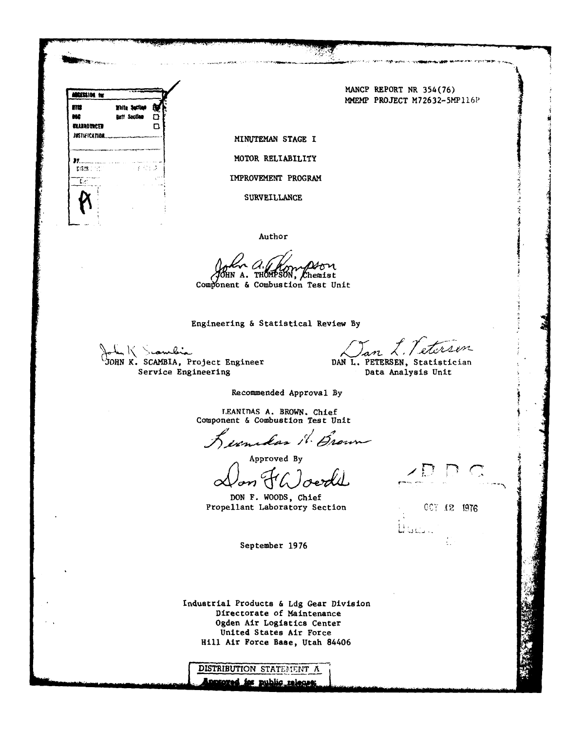

**MANCP** REPORT NR **354(76)** MMEMP **PROJECT** M72632-5MP1l6P

**SURVEILLANCE**

Author

**N A.** *THMa'S* hemist Component & Combustion Test Unit

Engineering **&** Statistical Review By

John K. Scambia Books Engineer DAN L. PETERSEN, Statistician

n L. Peterson

Service Engineering **Data Analysis Unit** Data Analysis Unit

Recommended Approval **By**

T.EANTnAS A. BROWN. Chief Component **&** Combustion Test Unit

Lecondas 1. Brown

Approved By<br>Rom FW oerde

**DON F.** WOODS, Chief Propellant Laboratory Section **CCT 12 1976** 

ليستلفاها

September 1976

Industrial Products & **Ldg** Gear Division Directorate of Maintenance Ogden Air Logistics Center United States Air Force Hill Air Force Base, Utah 84406

**DISTRIBUTION STATEMENT A** protoged for public releases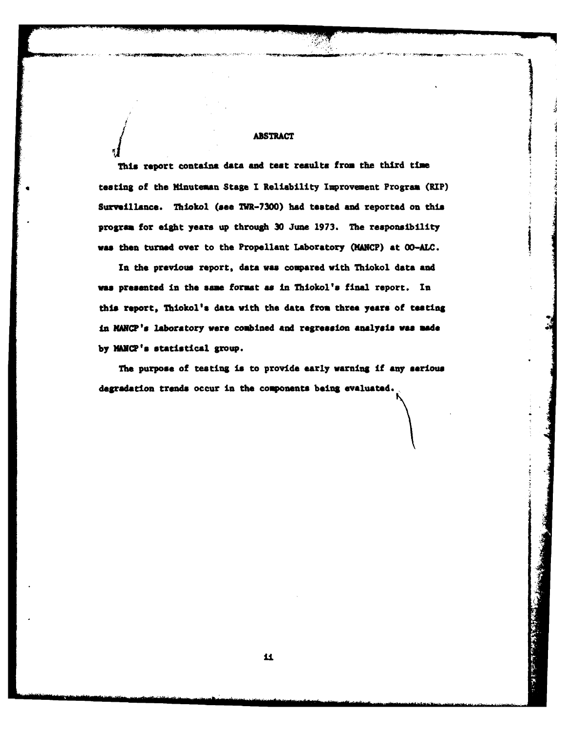# 485TRACT

This report contains data and test results from the third time testing of the Minuteman Stage **I** Reliability Improvement Program (RIP) Surveillance. Thiokol **(aee** IIIR-7300) **had** tested and reported on this program for eight years up through **30** June **1973.** The responsibility **was** then turned over to the Propellant Laboratory (NhNCP) **at OO-ALC.**

In the previous report, data was compared with Thiokol data and was presented in the same format as in Thiokol's final report. In this report, Thiokol's data with the data **from three years of** teasting In MANC?'a laboratory were combined and regression **analysis was made** by MANCP's statistical group.

The purpose of testing is to provide early warning if any **serious** degradation trends occur in the components being evaluated.

**Broad Stock of the Section Real**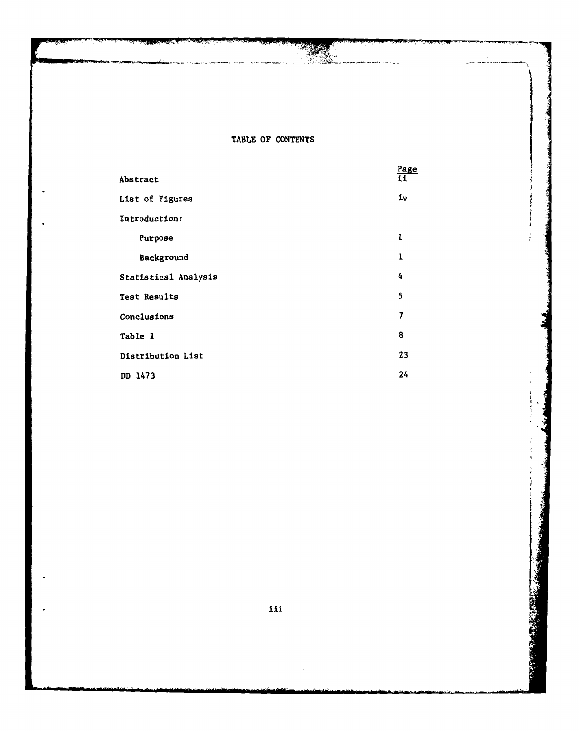### TABLE OF **CONTENTS**

|                      | Page |
|----------------------|------|
| Abstract             | 11   |
| List of Figures      | iv   |
| Introduction:        |      |
| Purpose              | 1    |
| Background           | ı    |
| Statistical Analysis | 4    |
| Test Results         | 5    |
| Conclusions          | 7    |
| Table 1              | 8    |
| Distribution List    | 23   |
| DD 1473              | 24   |

**tii**

**i-**

i.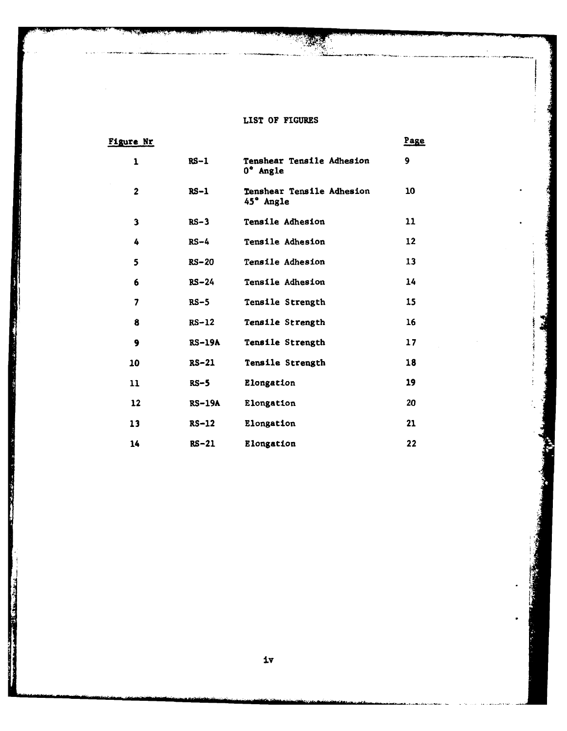## **LIST OF FIGURES**

| <u>Figure Nr</u> |          |                                        | Page |
|------------------|----------|----------------------------------------|------|
| 1                | $RS-1$   | Tenshear Tensile Adhesion<br>0° Angle  | 9    |
| $\overline{2}$   | $RS-1$   | Tenshear Tensile Adhesion<br>45° Angle | 10   |
| 3                | $RS-3$   | <b>Tensile Adhesion</b>                | 11   |
| 4                | $RS-4$   | <b>Tensile Adhesion</b>                | 12   |
| 5                | $RS-20$  | Tensile Adhesion                       | 13   |
| 6                | $RS-24$  | Tensile Adhesion                       | 14   |
| 7                | $RS-5$   | Tensile Strength                       | 15   |
| 8                | $RS-12$  | Tensile Strength                       | 16   |
| 9                | $RS-19A$ | Tensile Strength                       | 17   |
| 10               | $RS-21$  | Tensile Strength                       | 18   |
| 11               | $RS-5$   | Elongation                             | 19   |
| 12               | $RS-19A$ | Elongation                             | 20   |
| 13               | $RS-12$  | Elongation                             | 21   |
| 14               | $RS-21$  | Elongation                             | 22   |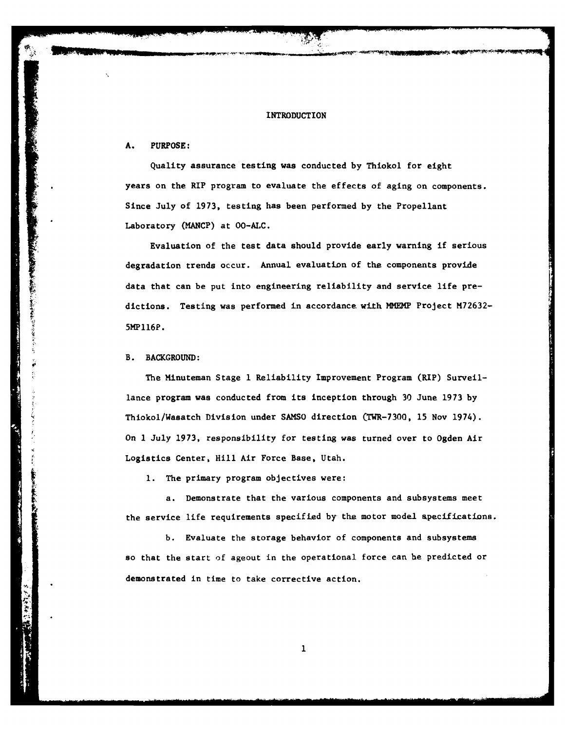#### INTRODUCTION

#### **A. PURPOSE:**

Quality assurance testing was conducted **by** Thiokol for eight years on the RIP program to evaluate the effects of aging on components. Since July of **1973,** testing has been performed by the Propellant Laboratory (MANCP) at OO-ALC.

Evaluation of the test data should provide early warning if serious degradation trends occur. Annual evaluation of the components provide data that can be put into engineering reliability and service life predictions. Testing was performed in accordance with NMEMP Project **M72632-** 5HPll6P.

#### B. **BACKGROUND:**

**CONTRACTOR CONTRACTORS** 

化气管管理

The Minuteman Stage **1** Reliability Improvement Program (RIP) Surveillance program was conducted from its inception through **30** June **1973** by Thiokol/Wasatch Division under SAMSO direction (TWR-7300, 15 Nov 1974). On **I** July 1973, responsibility for testing was turned over to Ogden Air Logistics Center, Hill Air Force Base, Utah.

**1.** The primary program objectives were:

a. Demonstrate that the various components and subsystems meet the service life requirements specified by the motor model specifications.

b. Evaluate the storage behavior of components and subsystems so that the start of ageout in the operational force can he predicted or demonstrated in time to take corrective action.

 $\mathbf{1}$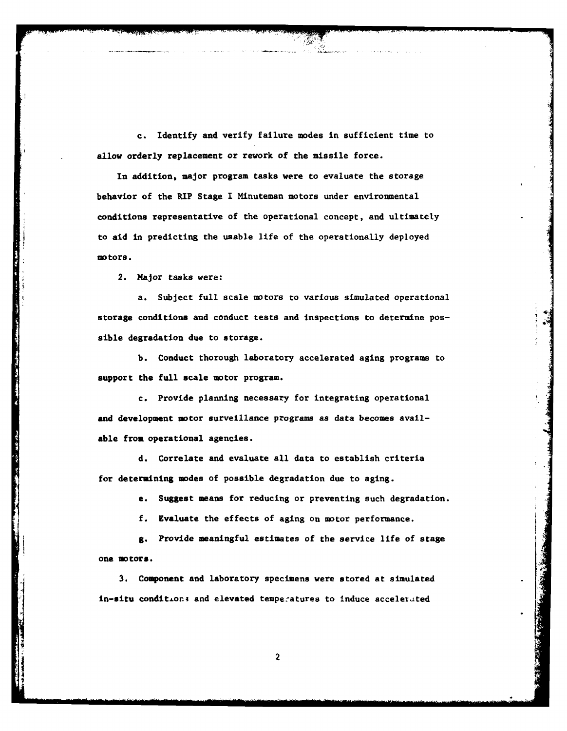c. Identify and verify failure modes in sufficient time to allow orderly replacement or rework of the missile force.

In addition, major program tasks were to evaluate the storage behavior of the RIP Stage I Minuteman motors under environmental conditions representative of the operational concept, and ultimately to aid in predicting the usable life of the operationally deployed motors.

2. Major tasks were:

a. Subject full scale motors to various simulated operational storage conditions and conduct tests and inspections to determine pos- \* sible degradation due to storage.

**b.** Conduct thorough laboratory accelerated aging programs to support the full scale motor program.

c. Provide planning necessary for integrating operational and development motor surveillance programs as data becomes available from operational agencies.

**d.** Correlate and evaluate all data to establish criteria for determining modes of possible degradation due to aging.

e. Suggest means for reducing or preventing such degradation.

**f.** Evaluate the effects of aging on motor performance.

**g.** Provide meaningful estimates of the service life of stage one **motors.**

**3.** Component and laboratory specimens were stored at simulated in-situ condition; and elevated temperatures to induce accelerated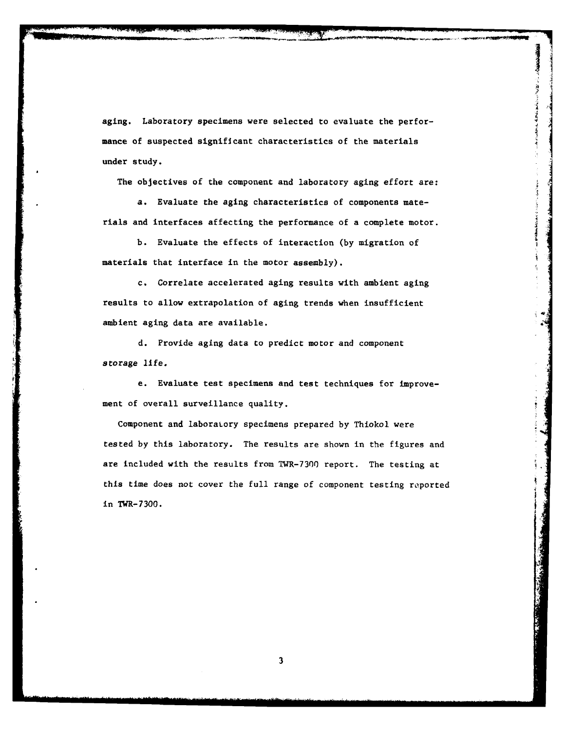aging. Laboratory specimens were selected to evaluate the performance of suspected significant characteristics of the materials under study.

The objectives of the component and laboratory aging effort are:

医皮肤病 医皮肤病

a. Evaluate the aging characteristics of components materials and interfaces affecting the performance of a complete motor.

b. Evaluate the effects of interaction (by migration of materials that interface in the motor assembly).

c. Correlate accelerated aging results with ambient aging results to allow extrapolation of aging trends when insufficient ambient aging data are available.

d. Provide aging data to predict motor and component storage life.

e. Evaluate test specimens and test techniques for improvement of overall surveillance quality.

Component and laboratory specimens prepared **by** Thiokol were tested by this laboratory. The results are shown in the figures and are included with the results from TWR-7300 report. The testing at this time does not cover the full range **of** component testing reported in TWR-7300.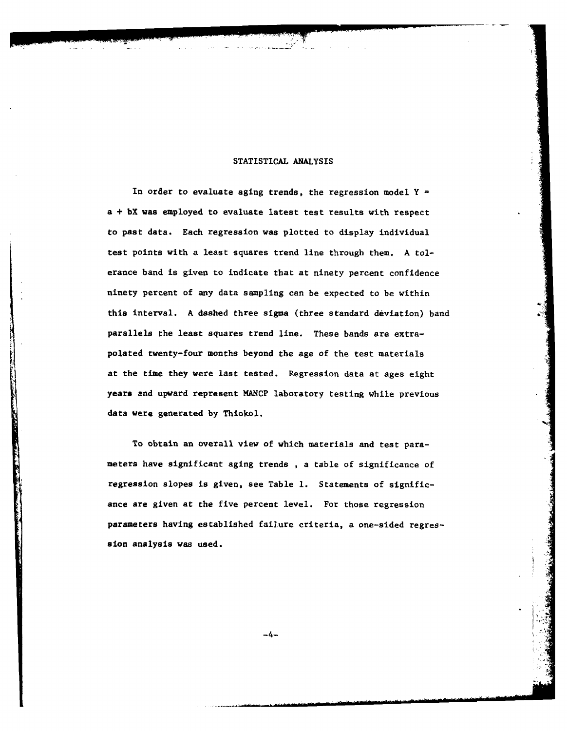#### **STATISTICAL** ANALYSIS

In order to evaluate aging trends, the regression model Y **=** a **+ bX** was employed to evaluate latest test results with respect to past data. Each regression was plotted to display individual test points with a least squares trend line through them. A tolerance band is given to indicate that at ninety percent confidence ninety percent of any data sampling can be expected to be within this interval. A dashed three sigma (three standard deviation) band parallels the least squares trend line. These bands are extrapolated twenty-four months beyond the age of the test materials at the time they were last tested. Regression data at ages eight years and upward represent **MANCP** laboratory testing while previous data were generated **by** Thiokol.

To obtain an overall view of which materials and test parameters have significant aging trends , a table of significance of regression slopes is given, see Table **1.** Statements of significance are given at the five percent level. For those regression parameters having established failure criteria, a one-sided regression analysis was used.

-4-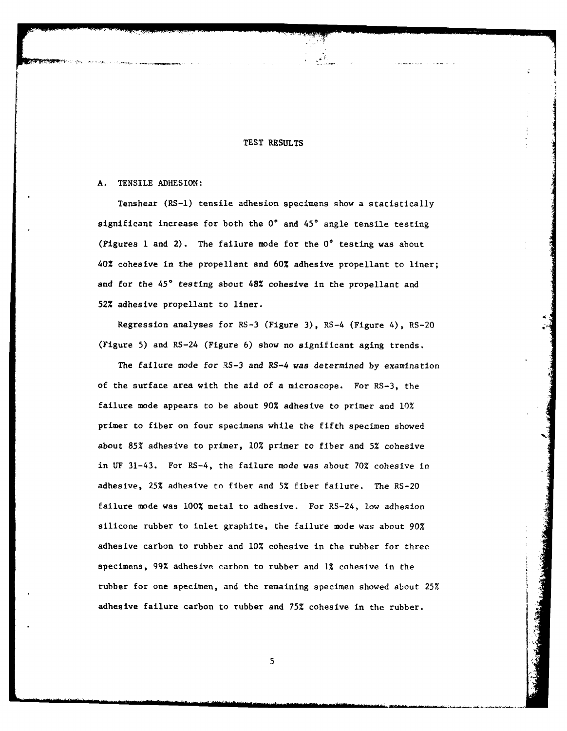#### **TEST RESULTS**

#### **A.** TENSILE ADHESION:

Tenshear (RS-l) tensile adhesion specimens show a statistically significant increase for both the 0° and 45° angle tensile testing (Figures **1** and 2). The failure mode for the **0\*** testing was about 40% cohesive in the propellant and **60%** adhesive propellant to liner; and for the 45° testing about 48% cohesive in the propellant and **52%** adhesive propellant to liner.

Regression analyses for RS-3 (Figure **3),** RS-4 (Figure 4), RS-20 - (Figure **5)** and RS-24 (Figure 6) show no significant aging trends.

The failure mode for RS-3 and RS-4 was determined **by** examination of the surface area with the aid of a microscope. For RS-3, the failure mode appears to be about **90%** adhesive to primer and **10%** primer to fiber on four specimens while the fifth specimen showed about **85%** adhesive to primer, **10%** primer to fiber and **5%** cohesive in **UF** 31-43. For RS-4, the failure mode was about **70%** cohesive in adhesive, **25%** adhesive to fiber and **5%** fiber failure. The RS-20 failure mode was **100%** metal to adhesive. For RS-24, low adhesion silicone rubber to inlet graphite, the failure mode was about **90%** adhesive carbon to rubber and **10%** cohesive in the rubber for three specimens, 99% adhesive carbon to rubber and 1% cohesive in the rubber for one specimen, and the remaining specimen showed about 25% adhesive failure carbon to rubber and **75%** cohesive in the rubber.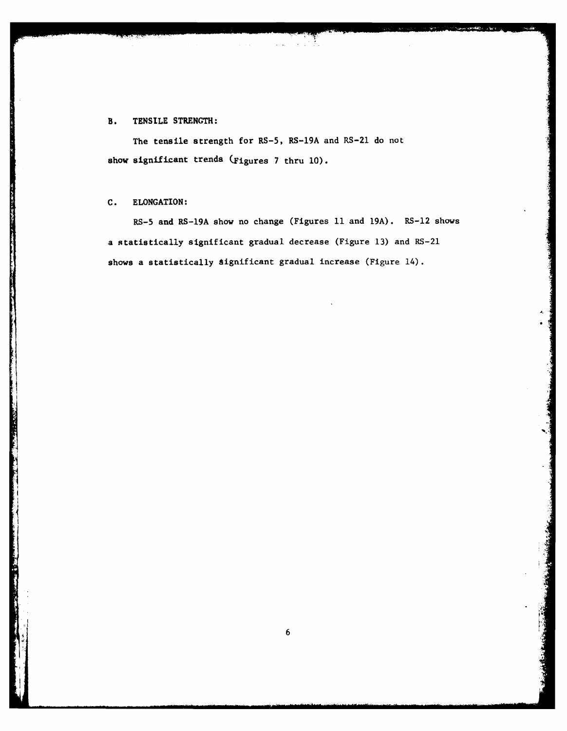#### B. **TENSILE** STRENGTH:

The tensile strength for RS-5, RS-19A and RS-21 do not show significant trends (Figures **7** thru **10).**

#### **C.** ELONGATION:

RS-5 and RS-19A show no change (Figures **11** and **19A).** RS-12 shows a statistically significant gradual decrease (Figure **13)** and RS-21 shows a statistically significant gradual increase (Figure 14).

Ŧ.

 $\mathcal{A} \in \mathbb{R}^{N}$ 

 $\sim$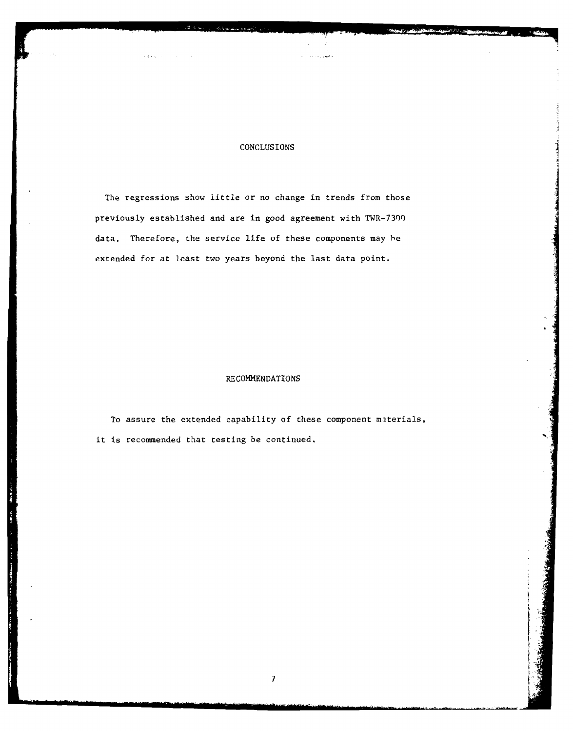#### CONCLUSIONS

والمهور وبالممارك والرد

The regressions show little or no change in trends from those previously established and are in good agreement with TWR-7300 data. Therefore, the service life of these components may he extended for at least two years beyond the last data point.

#### RECOMMENDATIONS

To assure the extended capability of these component materials, it is recommended that testing be continued.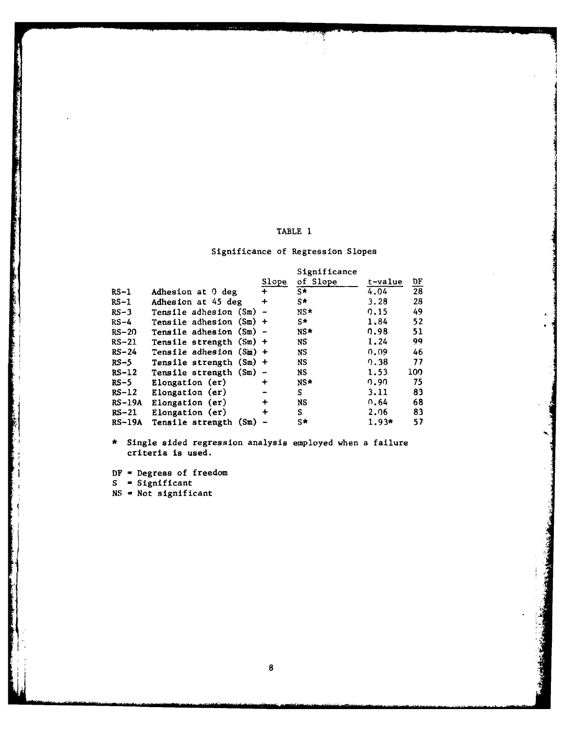#### TABLE **1**

j<br>1

استخداد.<br>ا

I

8

#### Significance of Regression Slopes

|          |                            |           | Significance |         |                 |
|----------|----------------------------|-----------|--------------|---------|-----------------|
|          |                            | Slope     | of Slope     | t-value | $\frac{DF}{28}$ |
| RS-1     | Adhesion at 0 deg          | $+$       | $S*$         | 4.04    |                 |
| $RS-1$   | Adhesion at 45 deg         | $\ddot{}$ | S∗           | 3.28    | 28              |
| $RS-3$   | Tensile adhesion $(Sm)$ -  |           | $NS*$        | 0.15    | 49              |
| RS-4     | Tensile adhesion $(Sm)$ +  |           | $S^*$        | 1.84    | 52              |
| $RS-20$  | Tensile adhesion $(Sm)$ -  |           | NS*          | 0.98    | 51              |
| $RS-21$  | Tensile strength $(Sm)$ +  |           | NS.          | 1.24    | 99              |
| $RS-24$  | Tensile adhesion $(S_m)$ + |           | NS.          | 0.09    | 46              |
| $RS-5$   | Tensile strength $(Sm)$ +  |           | NS.          | 0.38    | 77              |
| $RS-12$  | Tensile strength (Sm) -    |           | NS.          | 1.53    | 100             |
| RS-5     | Elongation (er)            | ┿         | NS*          | 0.90    | 75              |
| $RS-12$  | Elongation (er)            |           | S            | 3.11    | 83              |
| $RS-19A$ | Elongation (er)            | $\ddot{}$ | NS.          | 0.64    | 68              |
| $RS-21$  | Elongation (er)            | $\ddot{}$ | S            | 2.06    | 83              |
| $RS-19A$ | Tensile strength (Sm)      |           | S*           | $1.93*$ | 57              |

Single sided regression analysis employed when a failure criteria is used.

DF **-** Degress of freedom

**S -** Significant

**NS -** Not significant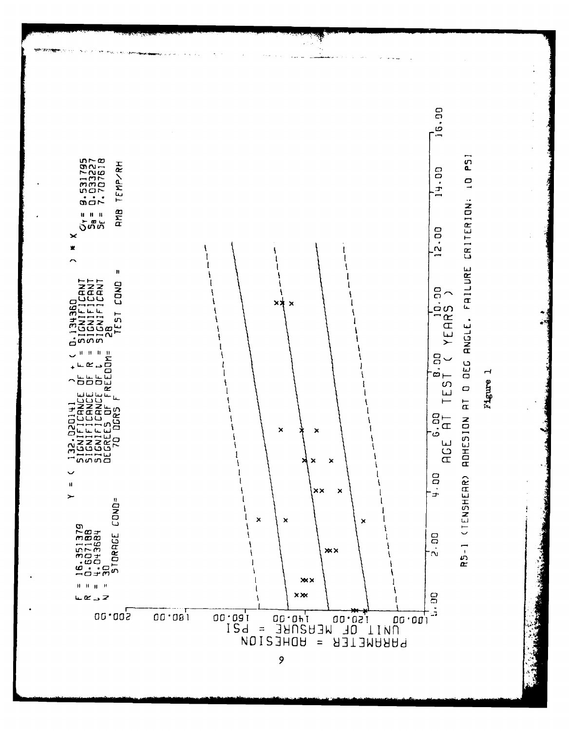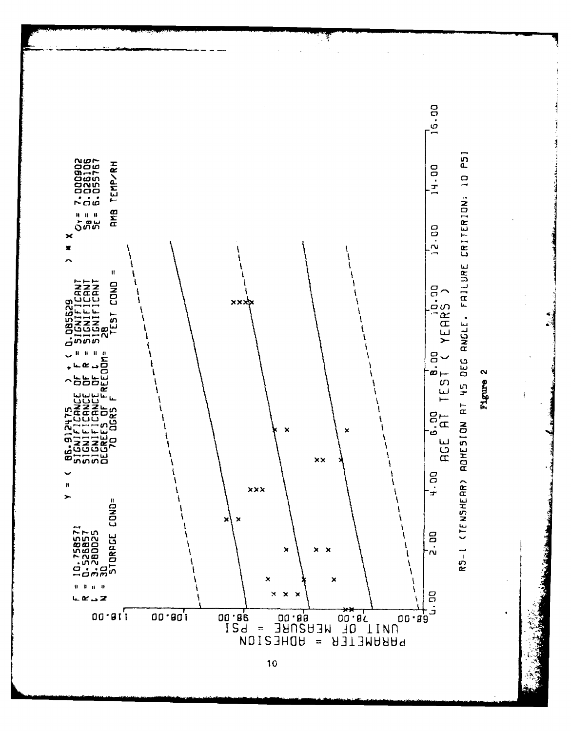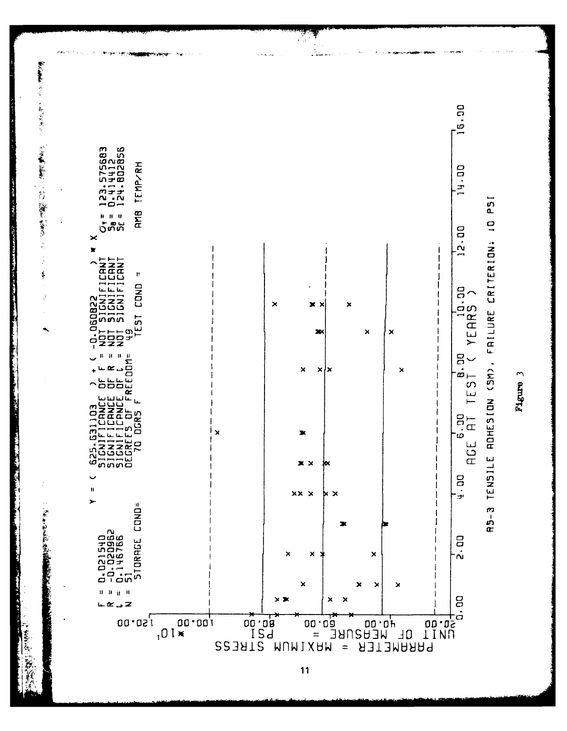

 $\tilde{ }$ Figure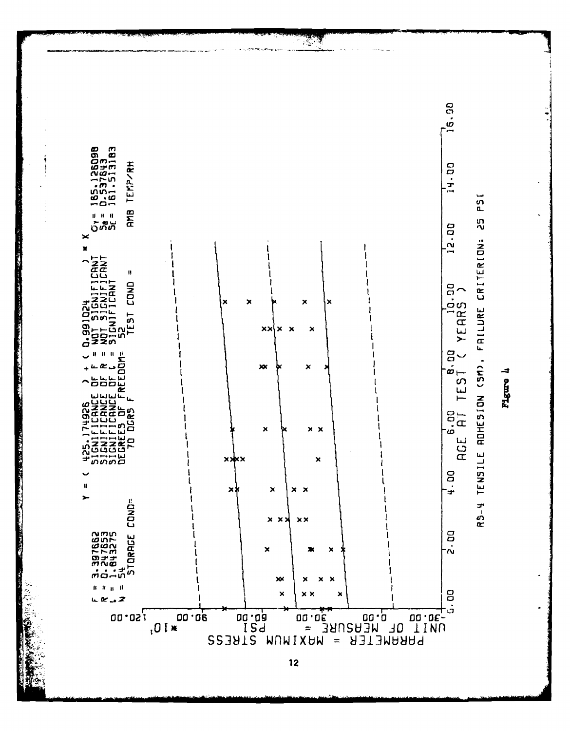

न्दर्भ<br>स्टब्स्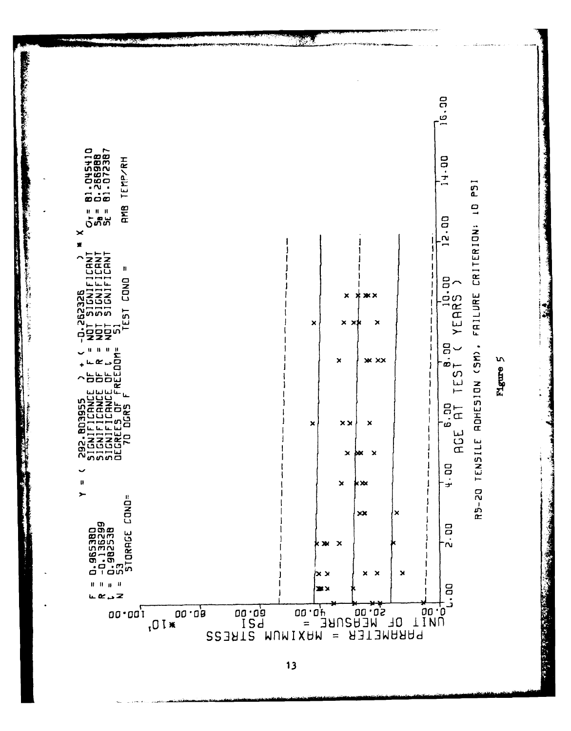

 $1<sub>3</sub>$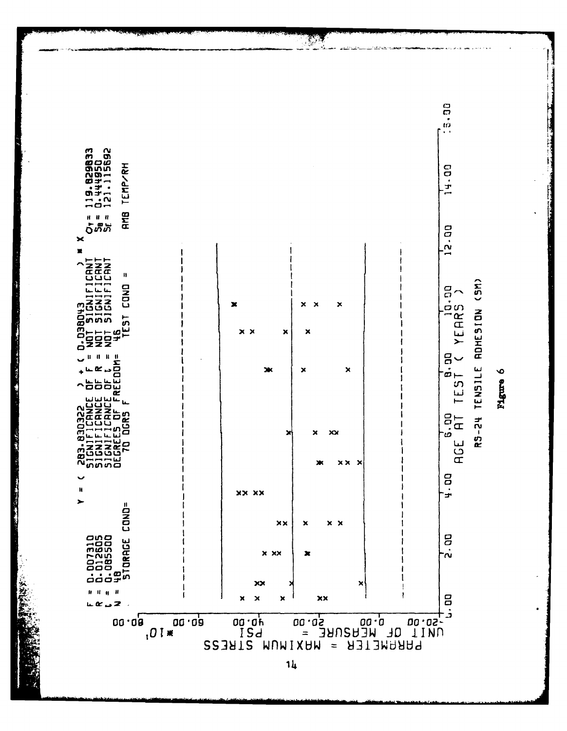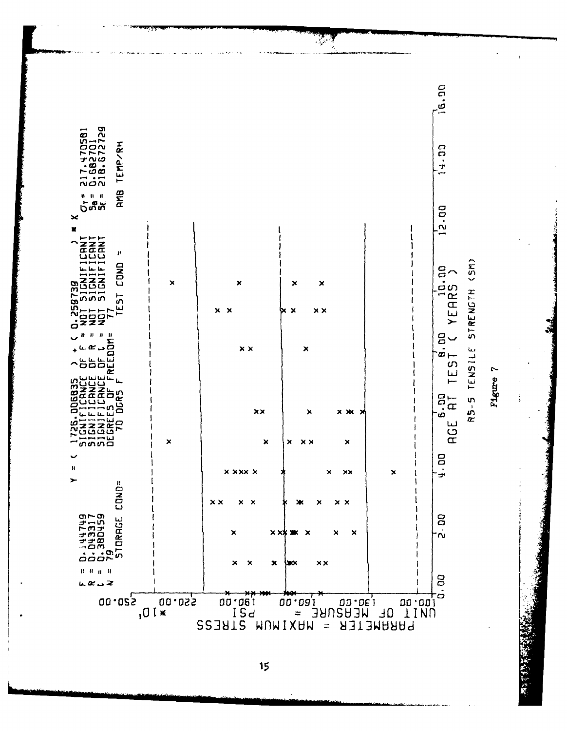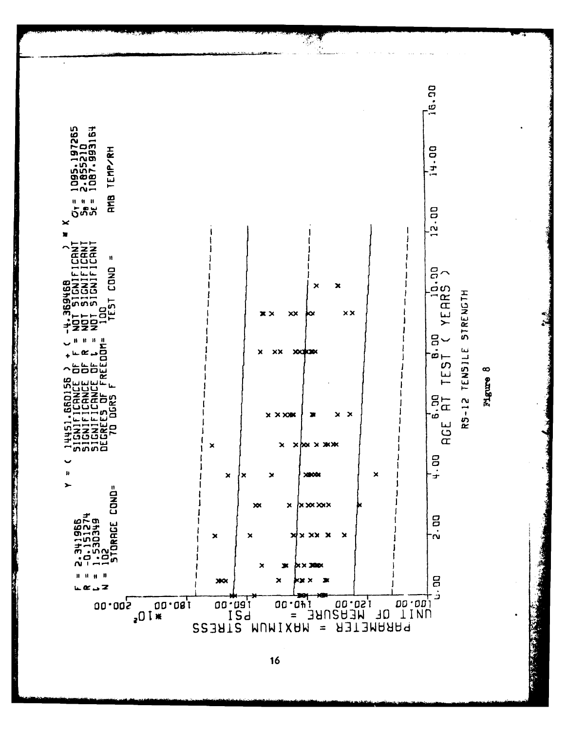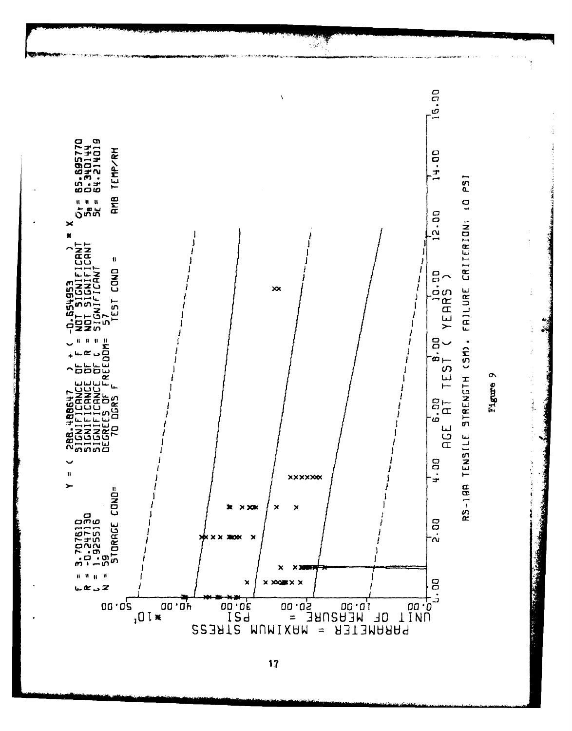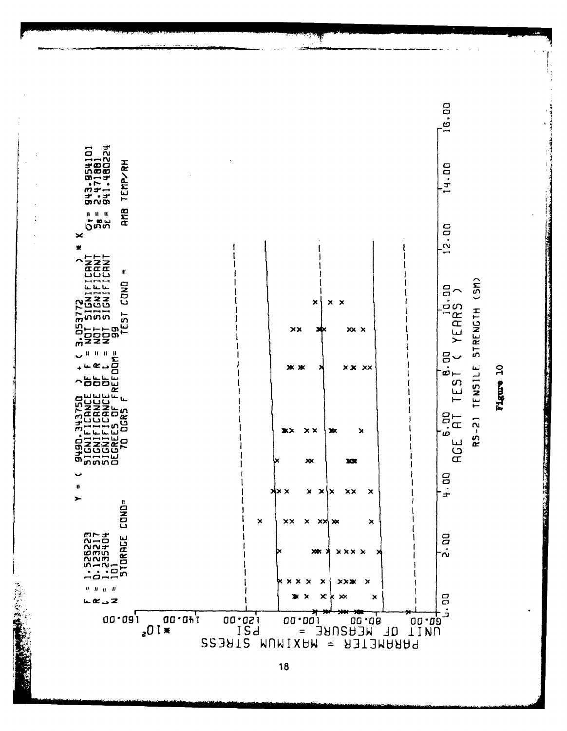

Figure 10

18

さんげん 歌奏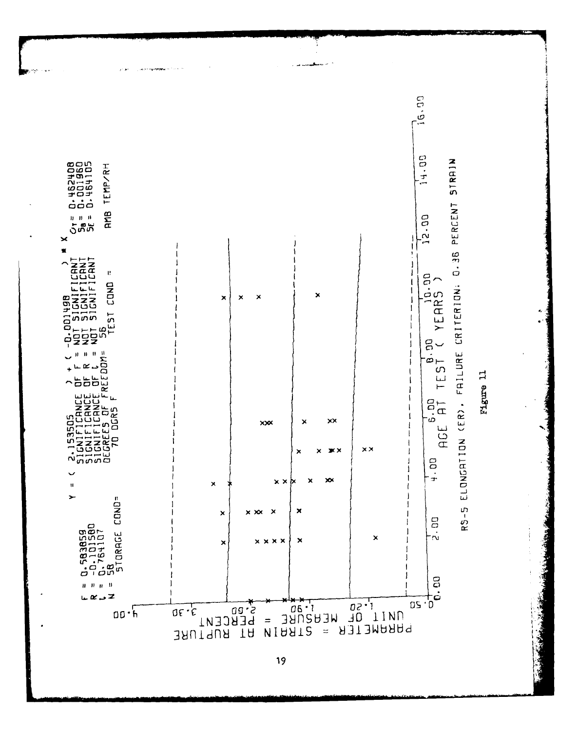

.<br>Количулерия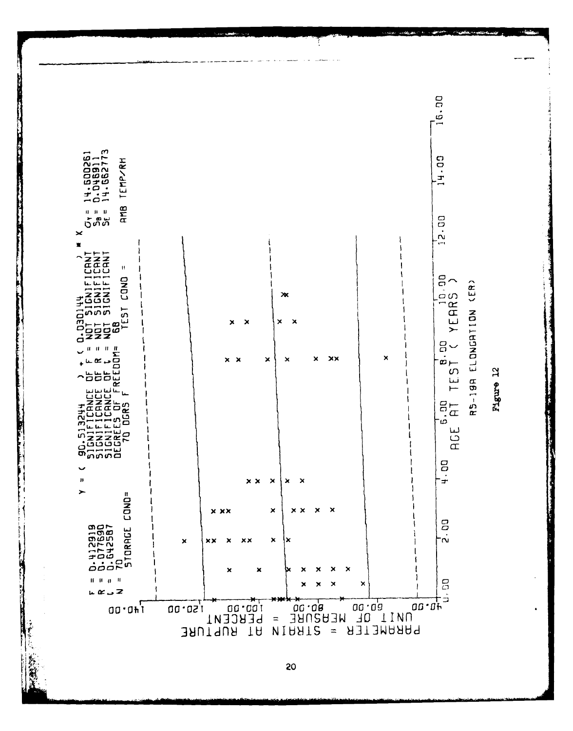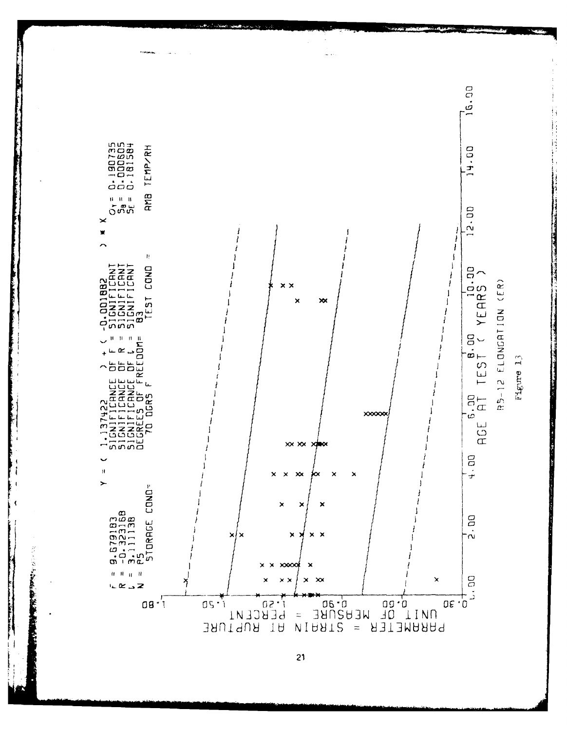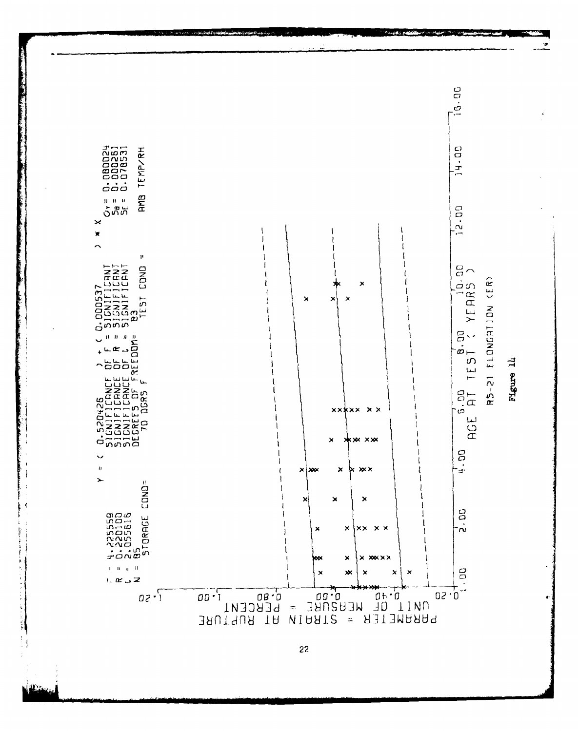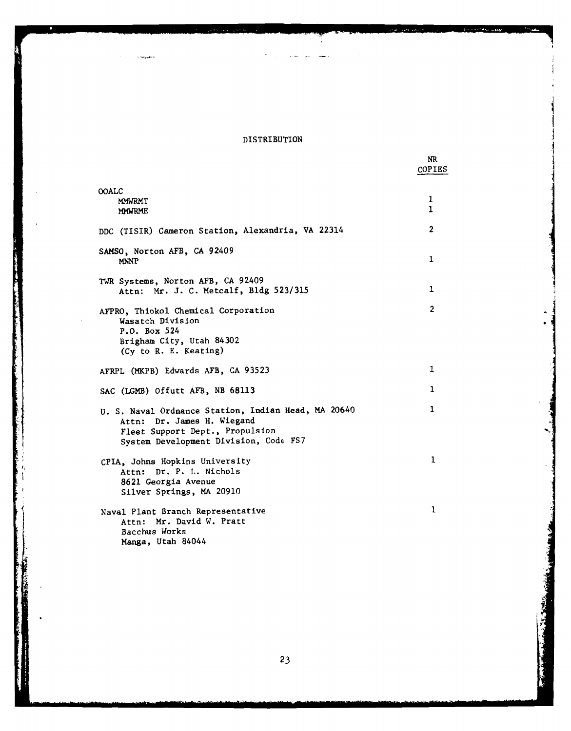# DISTRIBUTION

المهريبين

 $\ddot{\phantom{a}}$ 

NR

i<br>Salah

|                                                                                                                                                               | <b>COPIES</b>     |
|---------------------------------------------------------------------------------------------------------------------------------------------------------------|-------------------|
| <b>OOALC</b><br><b>MMWRMT</b><br><b>MMWRME</b>                                                                                                                | 1<br>$\mathbf{1}$ |
| DDC (TISIR) Cameron Station, Alexandria, VA 22314                                                                                                             | 2                 |
| SAMSO, Norton AFB, CA 92409<br><b>MNNP</b>                                                                                                                    | 1                 |
| TWR Systems, Norton AFB, CA 92409<br>Attn: Mr. J. C. Metcalf, Bldg 523/315                                                                                    | 1                 |
| AFPRO, Thiokol Chemical Corporation<br>Wasatch Division                                                                                                       | $\overline{2}$    |
| P.O. Box 524<br>Brigham City, Utah 84302<br>(Cy to R. E. Keating)                                                                                             |                   |
| AFRPL (MKPB) Edwards AFB, CA 93523                                                                                                                            | 1                 |
| SAC (LGMB) Offutt AFB, NB 68113                                                                                                                               | 1                 |
| U. S. Naval Ordnance Station, Indian Head, MA 20640<br>Attn: Dr. James H. Wiegand<br>Fleet Support Dept., Propulsion<br>System Development Division, Code FS7 | 1                 |
| CPIA. Johns Hopkins University<br>Attn: Dr. P. L. Nichols<br>8621 Georgia Avenue<br>Silver Springs, MA 20910                                                  | $\mathbf{1}$      |
| Naval Plant Branch Representative<br>Attn: Mr. David W. Pratt<br>Bacchus Works<br>Manga, Utah 84044                                                           | $\mathbf{1}$      |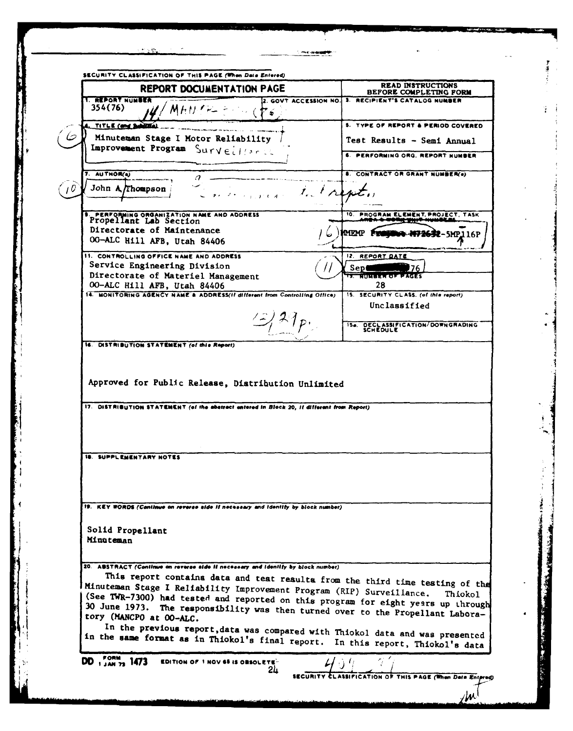| <b>READ INSTRUCTIONS</b><br>REPORT DOCUMENTATION PAGE<br>3. RECIPIENT'S CATALOG NUMBER<br>2. GOVT ACCESSION NO.<br>354(76)<br>$^{\prime}$ M H $\prime$ / $\sim$ $\sim$<br>TITLE (and Sublifie<br>Minuteman Stage I Motor Reliability<br>Improvement Program Surveillands<br>7. AUTHOR(a)<br>John A. Thompson<br>more to trent<br>PERFORMING ORGANIZATION NAME AND ADDRESS<br>Propellant Lab Section<br>Directorate of Maintenance<br>MEMP 1<br><b>R-5MP116P</b><br>00-ALC Hill AFB, Utah 84406<br>11. CONTROLLING OFFICE NAME AND ADDRESS<br>12. REPORT DATE<br>Service Engineering Division<br>Sep<br>76.<br>Directorate of Materiel Management<br><b>13 ROMER OF PAGES</b><br>28<br>00-ALC Hill AFB, Utah 84406<br>14. MONITORING AGENCY NAME & ADDRESS(If different from Controlling Office)<br>15. SECURITY CLASS. (of this report)<br>Unclassified<br>$/$ 2 1 p.<br><b>SCHEDULE</b><br>16. DISTRIBUTION STATEMENT (of this Report)<br>Approved for Public Release, Distribution Unlimited<br>17. DISTRIBUTION STATEMENT (of the abatract entered in Block 20, if different from Report)<br><b>18. SUPPLEMENTARY NOTES</b><br>19. KEY WORDS (Continue on reverse side if necessary and identity by block number)<br>Solid Propellant<br>Minuteman<br>20. ABSTRACT (Continue on reverse aide it necessary and identity by block number)<br>This report contains data and test results from the third time testing of the<br>Minuteman Stage I Reliability Improvement Program (RIP) Surveillance.<br>(See TWR-7300) had tested and reported on this program for eight years up through<br>30 June 1973. The responsibility was then turned over to the Propellant Labora-<br>tory (MANCPO at OO-ALC.<br>In the previous report, data was compared with Thiokol data and was presented<br>in the same format as in Thiokol's final report. In this report, Thiokol's data<br>DD $_{1,4M}^{10RM}$ 1473<br><b>EDITION OF 1 NOV 65 IS OBSOLETE-</b> | <b>T. REPORT NUMBER</b> |                                               |
|----------------------------------------------------------------------------------------------------------------------------------------------------------------------------------------------------------------------------------------------------------------------------------------------------------------------------------------------------------------------------------------------------------------------------------------------------------------------------------------------------------------------------------------------------------------------------------------------------------------------------------------------------------------------------------------------------------------------------------------------------------------------------------------------------------------------------------------------------------------------------------------------------------------------------------------------------------------------------------------------------------------------------------------------------------------------------------------------------------------------------------------------------------------------------------------------------------------------------------------------------------------------------------------------------------------------------------------------------------------------------------------------------------------------------------------------------------------------------------------------------------------------------------------------------------------------------------------------------------------------------------------------------------------------------------------------------------------------------------------------------------------------------------------------------------------------------------------------------------------------------------------------------------------------------------------------------|-------------------------|-----------------------------------------------|
|                                                                                                                                                                                                                                                                                                                                                                                                                                                                                                                                                                                                                                                                                                                                                                                                                                                                                                                                                                                                                                                                                                                                                                                                                                                                                                                                                                                                                                                                                                                                                                                                                                                                                                                                                                                                                                                                                                                                                    |                         | BEFORE COMPLETING FORM                        |
|                                                                                                                                                                                                                                                                                                                                                                                                                                                                                                                                                                                                                                                                                                                                                                                                                                                                                                                                                                                                                                                                                                                                                                                                                                                                                                                                                                                                                                                                                                                                                                                                                                                                                                                                                                                                                                                                                                                                                    |                         |                                               |
|                                                                                                                                                                                                                                                                                                                                                                                                                                                                                                                                                                                                                                                                                                                                                                                                                                                                                                                                                                                                                                                                                                                                                                                                                                                                                                                                                                                                                                                                                                                                                                                                                                                                                                                                                                                                                                                                                                                                                    |                         | 5. TYPE OF REPORT & PERIOD COVERED            |
|                                                                                                                                                                                                                                                                                                                                                                                                                                                                                                                                                                                                                                                                                                                                                                                                                                                                                                                                                                                                                                                                                                                                                                                                                                                                                                                                                                                                                                                                                                                                                                                                                                                                                                                                                                                                                                                                                                                                                    |                         | Test Results - Semi Annual                    |
|                                                                                                                                                                                                                                                                                                                                                                                                                                                                                                                                                                                                                                                                                                                                                                                                                                                                                                                                                                                                                                                                                                                                                                                                                                                                                                                                                                                                                                                                                                                                                                                                                                                                                                                                                                                                                                                                                                                                                    |                         | 6. PERFORMING ORG. REPORT NUMBER              |
|                                                                                                                                                                                                                                                                                                                                                                                                                                                                                                                                                                                                                                                                                                                                                                                                                                                                                                                                                                                                                                                                                                                                                                                                                                                                                                                                                                                                                                                                                                                                                                                                                                                                                                                                                                                                                                                                                                                                                    |                         | <b>8. CONTRACT OR GRANT NUMBER(e)</b>         |
|                                                                                                                                                                                                                                                                                                                                                                                                                                                                                                                                                                                                                                                                                                                                                                                                                                                                                                                                                                                                                                                                                                                                                                                                                                                                                                                                                                                                                                                                                                                                                                                                                                                                                                                                                                                                                                                                                                                                                    |                         |                                               |
|                                                                                                                                                                                                                                                                                                                                                                                                                                                                                                                                                                                                                                                                                                                                                                                                                                                                                                                                                                                                                                                                                                                                                                                                                                                                                                                                                                                                                                                                                                                                                                                                                                                                                                                                                                                                                                                                                                                                                    |                         | 10. PROGRAM ELEMENT, PROJECT, TASK            |
|                                                                                                                                                                                                                                                                                                                                                                                                                                                                                                                                                                                                                                                                                                                                                                                                                                                                                                                                                                                                                                                                                                                                                                                                                                                                                                                                                                                                                                                                                                                                                                                                                                                                                                                                                                                                                                                                                                                                                    |                         |                                               |
|                                                                                                                                                                                                                                                                                                                                                                                                                                                                                                                                                                                                                                                                                                                                                                                                                                                                                                                                                                                                                                                                                                                                                                                                                                                                                                                                                                                                                                                                                                                                                                                                                                                                                                                                                                                                                                                                                                                                                    |                         |                                               |
|                                                                                                                                                                                                                                                                                                                                                                                                                                                                                                                                                                                                                                                                                                                                                                                                                                                                                                                                                                                                                                                                                                                                                                                                                                                                                                                                                                                                                                                                                                                                                                                                                                                                                                                                                                                                                                                                                                                                                    |                         |                                               |
|                                                                                                                                                                                                                                                                                                                                                                                                                                                                                                                                                                                                                                                                                                                                                                                                                                                                                                                                                                                                                                                                                                                                                                                                                                                                                                                                                                                                                                                                                                                                                                                                                                                                                                                                                                                                                                                                                                                                                    |                         |                                               |
|                                                                                                                                                                                                                                                                                                                                                                                                                                                                                                                                                                                                                                                                                                                                                                                                                                                                                                                                                                                                                                                                                                                                                                                                                                                                                                                                                                                                                                                                                                                                                                                                                                                                                                                                                                                                                                                                                                                                                    |                         |                                               |
|                                                                                                                                                                                                                                                                                                                                                                                                                                                                                                                                                                                                                                                                                                                                                                                                                                                                                                                                                                                                                                                                                                                                                                                                                                                                                                                                                                                                                                                                                                                                                                                                                                                                                                                                                                                                                                                                                                                                                    |                         |                                               |
|                                                                                                                                                                                                                                                                                                                                                                                                                                                                                                                                                                                                                                                                                                                                                                                                                                                                                                                                                                                                                                                                                                                                                                                                                                                                                                                                                                                                                                                                                                                                                                                                                                                                                                                                                                                                                                                                                                                                                    |                         |                                               |
|                                                                                                                                                                                                                                                                                                                                                                                                                                                                                                                                                                                                                                                                                                                                                                                                                                                                                                                                                                                                                                                                                                                                                                                                                                                                                                                                                                                                                                                                                                                                                                                                                                                                                                                                                                                                                                                                                                                                                    |                         | <b>154 DECLASSIFICATION/DOWNGRADING</b>       |
|                                                                                                                                                                                                                                                                                                                                                                                                                                                                                                                                                                                                                                                                                                                                                                                                                                                                                                                                                                                                                                                                                                                                                                                                                                                                                                                                                                                                                                                                                                                                                                                                                                                                                                                                                                                                                                                                                                                                                    |                         |                                               |
|                                                                                                                                                                                                                                                                                                                                                                                                                                                                                                                                                                                                                                                                                                                                                                                                                                                                                                                                                                                                                                                                                                                                                                                                                                                                                                                                                                                                                                                                                                                                                                                                                                                                                                                                                                                                                                                                                                                                                    |                         |                                               |
|                                                                                                                                                                                                                                                                                                                                                                                                                                                                                                                                                                                                                                                                                                                                                                                                                                                                                                                                                                                                                                                                                                                                                                                                                                                                                                                                                                                                                                                                                                                                                                                                                                                                                                                                                                                                                                                                                                                                                    |                         |                                               |
|                                                                                                                                                                                                                                                                                                                                                                                                                                                                                                                                                                                                                                                                                                                                                                                                                                                                                                                                                                                                                                                                                                                                                                                                                                                                                                                                                                                                                                                                                                                                                                                                                                                                                                                                                                                                                                                                                                                                                    |                         |                                               |
|                                                                                                                                                                                                                                                                                                                                                                                                                                                                                                                                                                                                                                                                                                                                                                                                                                                                                                                                                                                                                                                                                                                                                                                                                                                                                                                                                                                                                                                                                                                                                                                                                                                                                                                                                                                                                                                                                                                                                    |                         |                                               |
|                                                                                                                                                                                                                                                                                                                                                                                                                                                                                                                                                                                                                                                                                                                                                                                                                                                                                                                                                                                                                                                                                                                                                                                                                                                                                                                                                                                                                                                                                                                                                                                                                                                                                                                                                                                                                                                                                                                                                    |                         |                                               |
|                                                                                                                                                                                                                                                                                                                                                                                                                                                                                                                                                                                                                                                                                                                                                                                                                                                                                                                                                                                                                                                                                                                                                                                                                                                                                                                                                                                                                                                                                                                                                                                                                                                                                                                                                                                                                                                                                                                                                    |                         |                                               |
|                                                                                                                                                                                                                                                                                                                                                                                                                                                                                                                                                                                                                                                                                                                                                                                                                                                                                                                                                                                                                                                                                                                                                                                                                                                                                                                                                                                                                                                                                                                                                                                                                                                                                                                                                                                                                                                                                                                                                    |                         |                                               |
|                                                                                                                                                                                                                                                                                                                                                                                                                                                                                                                                                                                                                                                                                                                                                                                                                                                                                                                                                                                                                                                                                                                                                                                                                                                                                                                                                                                                                                                                                                                                                                                                                                                                                                                                                                                                                                                                                                                                                    |                         |                                               |
|                                                                                                                                                                                                                                                                                                                                                                                                                                                                                                                                                                                                                                                                                                                                                                                                                                                                                                                                                                                                                                                                                                                                                                                                                                                                                                                                                                                                                                                                                                                                                                                                                                                                                                                                                                                                                                                                                                                                                    |                         |                                               |
|                                                                                                                                                                                                                                                                                                                                                                                                                                                                                                                                                                                                                                                                                                                                                                                                                                                                                                                                                                                                                                                                                                                                                                                                                                                                                                                                                                                                                                                                                                                                                                                                                                                                                                                                                                                                                                                                                                                                                    |                         |                                               |
|                                                                                                                                                                                                                                                                                                                                                                                                                                                                                                                                                                                                                                                                                                                                                                                                                                                                                                                                                                                                                                                                                                                                                                                                                                                                                                                                                                                                                                                                                                                                                                                                                                                                                                                                                                                                                                                                                                                                                    |                         |                                               |
|                                                                                                                                                                                                                                                                                                                                                                                                                                                                                                                                                                                                                                                                                                                                                                                                                                                                                                                                                                                                                                                                                                                                                                                                                                                                                                                                                                                                                                                                                                                                                                                                                                                                                                                                                                                                                                                                                                                                                    |                         |                                               |
|                                                                                                                                                                                                                                                                                                                                                                                                                                                                                                                                                                                                                                                                                                                                                                                                                                                                                                                                                                                                                                                                                                                                                                                                                                                                                                                                                                                                                                                                                                                                                                                                                                                                                                                                                                                                                                                                                                                                                    |                         |                                               |
|                                                                                                                                                                                                                                                                                                                                                                                                                                                                                                                                                                                                                                                                                                                                                                                                                                                                                                                                                                                                                                                                                                                                                                                                                                                                                                                                                                                                                                                                                                                                                                                                                                                                                                                                                                                                                                                                                                                                                    |                         |                                               |
|                                                                                                                                                                                                                                                                                                                                                                                                                                                                                                                                                                                                                                                                                                                                                                                                                                                                                                                                                                                                                                                                                                                                                                                                                                                                                                                                                                                                                                                                                                                                                                                                                                                                                                                                                                                                                                                                                                                                                    |                         | Thiokol                                       |
|                                                                                                                                                                                                                                                                                                                                                                                                                                                                                                                                                                                                                                                                                                                                                                                                                                                                                                                                                                                                                                                                                                                                                                                                                                                                                                                                                                                                                                                                                                                                                                                                                                                                                                                                                                                                                                                                                                                                                    |                         |                                               |
|                                                                                                                                                                                                                                                                                                                                                                                                                                                                                                                                                                                                                                                                                                                                                                                                                                                                                                                                                                                                                                                                                                                                                                                                                                                                                                                                                                                                                                                                                                                                                                                                                                                                                                                                                                                                                                                                                                                                                    |                         |                                               |
|                                                                                                                                                                                                                                                                                                                                                                                                                                                                                                                                                                                                                                                                                                                                                                                                                                                                                                                                                                                                                                                                                                                                                                                                                                                                                                                                                                                                                                                                                                                                                                                                                                                                                                                                                                                                                                                                                                                                                    |                         |                                               |
|                                                                                                                                                                                                                                                                                                                                                                                                                                                                                                                                                                                                                                                                                                                                                                                                                                                                                                                                                                                                                                                                                                                                                                                                                                                                                                                                                                                                                                                                                                                                                                                                                                                                                                                                                                                                                                                                                                                                                    | 24                      | ASSIFICATION OF THIS PAGE (When Data Entered) |